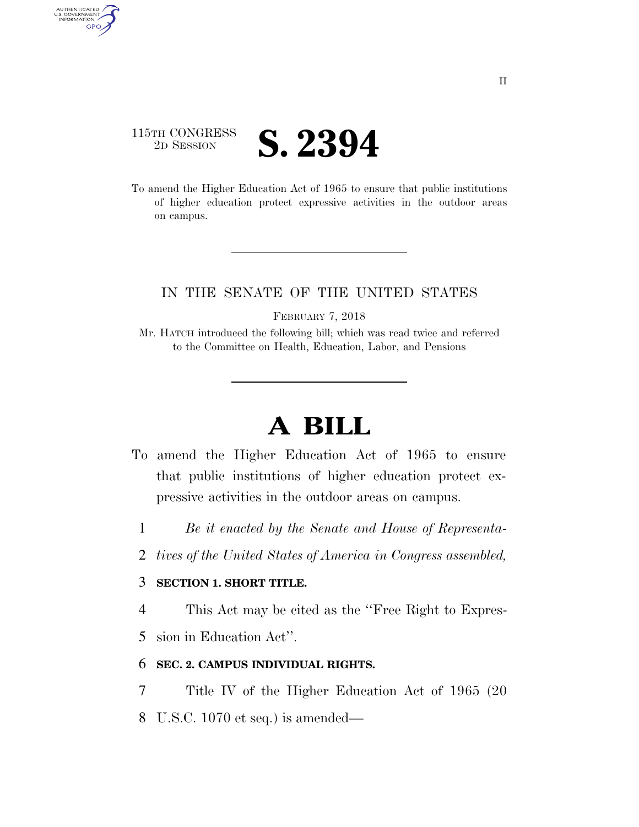## 115TH CONGRESS **2D SESSION S. 2394**

AUTHENTICATED<br>U.S. GOVERNMENT<br>INFORMATION

**GPO** 

To amend the Higher Education Act of 1965 to ensure that public institutions of higher education protect expressive activities in the outdoor areas on campus.

### IN THE SENATE OF THE UNITED STATES

FEBRUARY 7, 2018

Mr. HATCH introduced the following bill; which was read twice and referred to the Committee on Health, Education, Labor, and Pensions

# **A BILL**

- To amend the Higher Education Act of 1965 to ensure that public institutions of higher education protect expressive activities in the outdoor areas on campus.
	- 1 *Be it enacted by the Senate and House of Representa-*
	- 2 *tives of the United States of America in Congress assembled,*

#### 3 **SECTION 1. SHORT TITLE.**

4 This Act may be cited as the ''Free Right to Expres-

5 sion in Education Act''.

### 6 **SEC. 2. CAMPUS INDIVIDUAL RIGHTS.**

- 7 Title IV of the Higher Education Act of 1965 (20
- 8 U.S.C. 1070 et seq.) is amended—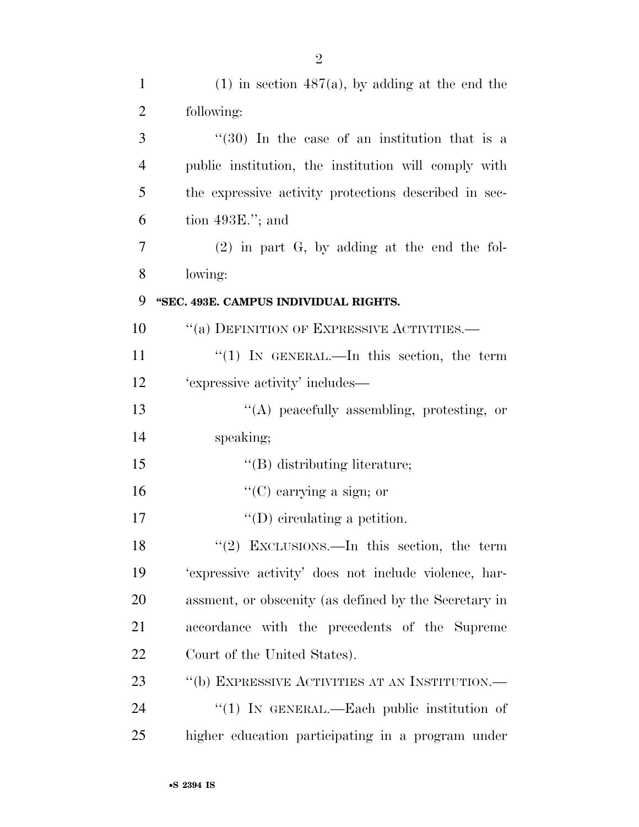| $\mathbf{1}$   | $(1)$ in section 487(a), by adding at the end the     |
|----------------|-------------------------------------------------------|
| $\overline{2}$ | following:                                            |
| 3              | $(30)$ In the case of an institution that is a        |
| $\overline{4}$ | public institution, the institution will comply with  |
| 5              | the expressive activity protections described in sec- |
| 6              | tion $493E$ ."; and                                   |
| 7              | $(2)$ in part G, by adding at the end the fol-        |
| 8              | lowing:                                               |
| 9              | "SEC. 493E. CAMPUS INDIVIDUAL RIGHTS.                 |
| 10             | "(a) DEFINITION OF EXPRESSIVE ACTIVITIES.—            |
| 11             | "(1) IN GENERAL.—In this section, the term            |
| 12             | 'expressive activity' includes—                       |
| 13             | $\lq\lq$ peacefully assembling, protesting, or        |
| 14             | speaking;                                             |
| 15             | $\lq\lq$ distributing literature;                     |
| 16             | "(C) carrying a sign; or                              |
| 17             | $\lq\lq$ (D) circulating a petition.                  |
| 18             | "(2) EXCLUSIONS.—In this section, the term            |
| 19             | 'expressive activity' does not include violence, har- |
| 20             | assment, or obscenity (as defined by the Secretary in |
| 21             | accordance with the precedents of the Supreme         |
| 22             | Court of the United States).                          |
| 23             | "(b) EXPRESSIVE ACTIVITIES AT AN INSTITUTION.—        |
| 24             | $(1)$ IN GENERAL.—Each public institution of          |
| 25             | higher education participating in a program under     |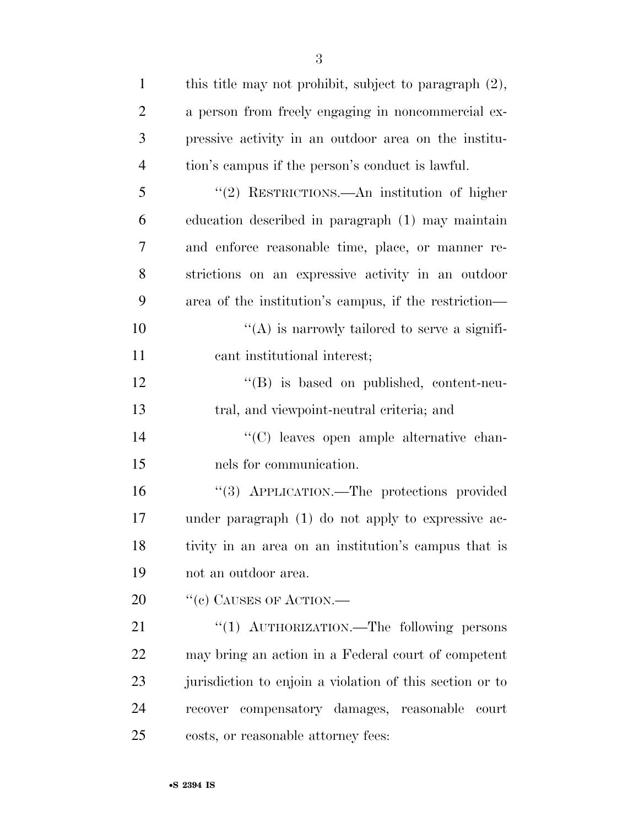| $\mathbf{1}$   | this title may not prohibit, subject to paragraph $(2)$ , |
|----------------|-----------------------------------------------------------|
| $\overline{2}$ | a person from freely engaging in noncommercial ex-        |
| 3              | pressive activity in an outdoor area on the institu-      |
| $\overline{4}$ | tion's campus if the person's conduct is lawful.          |
| 5              | "(2) RESTRICTIONS.—An institution of higher               |
| 6              | education described in paragraph (1) may maintain         |
| $\overline{7}$ | and enforce reasonable time, place, or manner re-         |
| 8              | strictions on an expressive activity in an outdoor        |
| 9              | area of the institution's campus, if the restriction—     |
| 10             | $\lq\lq$ is narrowly tailored to serve a signifi-         |
| 11             | cant institutional interest;                              |
| 12             | $\lq\lq (B)$ is based on published, content-neu-          |
| 13             | tral, and viewpoint-neutral criteria; and                 |
| 14             | "(C) leaves open ample alternative chan-                  |
| 15             | nels for communication.                                   |
| 16             | "(3) APPLICATION.—The protections provided                |
| 17             | under paragraph (1) do not apply to expressive ac-        |
| 18             | tivity in an area on an institution's campus that is      |
| 19             | not an outdoor area.                                      |
| 20             | $``(e)$ Causes of Action.—                                |
| 21             | "(1) AUTHORIZATION.—The following persons                 |
| 22             | may bring an action in a Federal court of competent       |
| 23             | jurisdiction to enjoin a violation of this section or to  |
| 24             | recover compensatory damages, reasonable<br>court         |
| 25             | costs, or reasonable attorney fees:                       |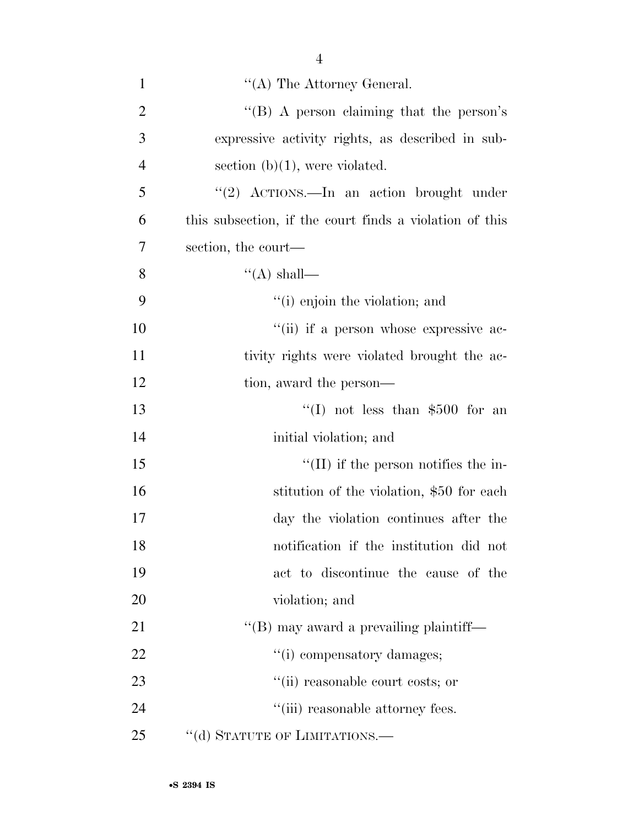| $\mathbf{1}$   | $\lq\lq$ The Attorney General.                          |
|----------------|---------------------------------------------------------|
| $\overline{2}$ | "(B) A person claiming that the person's                |
| 3              | expressive activity rights, as described in sub-        |
| $\overline{4}$ | section $(b)(1)$ , were violated.                       |
| 5              | "(2) $ACTIONS$ . In an action brought under             |
| 6              | this subsection, if the court finds a violation of this |
| 7              | section, the court—                                     |
| 8              | $\lq (A)$ shall—                                        |
| 9              | "(i) enjoin the violation; and                          |
| 10             | "(ii) if a person whose expressive ac-                  |
| 11             | tivity rights were violated brought the ac-             |
| 12             | tion, award the person—                                 |
| 13             | "(I) not less than $$500$ for an                        |
| 14             | initial violation; and                                  |
| 15             | $\lq\lq$ (II) if the person notifies the in-            |
| 16             | stitution of the violation, \$50 for each               |
| 17             | day the violation continues after the                   |
| 18             | notification if the institution did not                 |
| 19             | act to discontinue the cause of the                     |
| 20             | violation; and                                          |
| 21             | $\lq\lq$ (B) may award a prevailing plaintiff—          |
| 22             | "(i) compensatory damages;                              |
| 23             | "(ii) reasonable court costs; or                        |
| 24             | "(iii) reasonable attorney fees.                        |
| 25             | "(d) STATUTE OF LIMITATIONS.—                           |